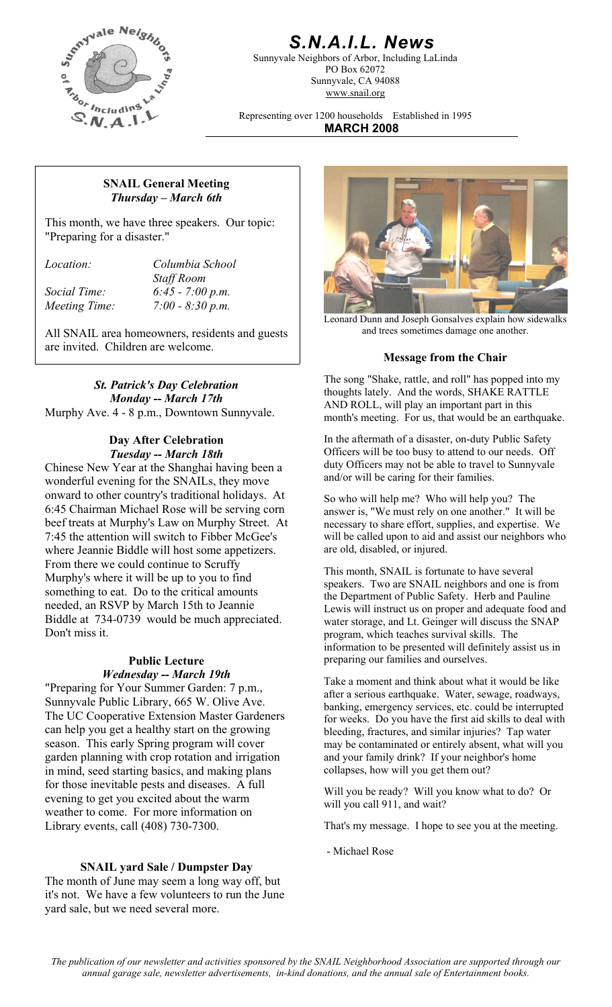

# *S.N.A.I.L. News*

Sunnyvale Neighbors of Arbor, Including LaLinda PO Box 62072 Sunnyvale, CA 94088 www.snail.org

Representing over 1200 households Established in 1995 **MARCH 2008**

#### **SNAIL General Meeting**  *Thursday – March 6th*

This month, we have three speakers. Our topic: "Preparing for a disaster."

*Location: Columbia School Staff Room Social Time: 6:45 - 7:00 p.m. Meeting Time: 7:00 - 8:30 p.m.* 

All SNAIL area homeowners, residents and guests are invited. Children are welcome.

*St. Patrick's Day Celebration Monday -- March 17th* Murphy Ave. 4 - 8 p.m., Downtown Sunnyvale.

### **Day After Celebration**  *Tuesday -- March 18th*

Chinese New Year at the Shanghai having been a wonderful evening for the SNAILs, they move onward to other country's traditional holidays. At 6:45 Chairman Michael Rose will be serving corn beef treats at Murphy's Law on Murphy Street. At 7:45 the attention will switch to Fibber McGee's where Jeannie Biddle will host some appetizers. From there we could continue to Scruffy Murphy's where it will be up to you to find something to eat. Do to the critical amounts needed, an RSVP by March 15th to Jeannie Biddle at 734-0739 would be much appreciated. Don't miss it.

"Preparing for Your Summer Garden: 7 p.m., Sunnyvale Public Library, 665 W. Olive Ave. The UC Cooperative Extension Master Gardeners can help you get a healthy start on the growing season. This early Spring program will cover garden planning with crop rotation and irrigation in mind, seed starting basics, and making plans for those inevitable pests and diseases. A full evening to get you excited about the warm weather to come. For more information on Library events, call (408) 730-7300.

# **SNAIL yard Sale / Dumpster Day**

The month of June may seem a long way off, but it's not. We have a few volunteers to run the June yard sale, but we need several more.



Leonard Dunn and Joseph Gonsalves explain how sidewalks and trees sometimes damage one another.

#### **Message from the Chair**

The song "Shake, rattle, and roll" has popped into my thoughts lately. And the words, SHAKE RATTLE AND ROLL, will play an important part in this month's meeting. For us, that would be an earthquake.

In the aftermath of a disaster, on-duty Public Safety Officers will be too busy to attend to our needs. Off duty Officers may not be able to travel to Sunnyvale and/or will be caring for their families.

So who will help me? Who will help you? The answer is, "We must rely on one another." It will be necessary to share effort, supplies, and expertise. We will be called upon to aid and assist our neighbors who are old, disabled, or injured.

This month, SNAIL is fortunate to have several speakers. Two are SNAIL neighbors and one is from the Department of Public Safety. Herb and Pauline Lewis will instruct us on proper and adequate food and water storage, and Lt. Geinger will discuss the SNAP program, which teaches survival skills. The information to be presented will definitely assist us in **Public Lecture preparing our families and ourselves.** 

*Wednesday* -- *March 19th*<br>Take a moment and think about what it would be like after a serious earthquake. Water, sewage, roadways, banking, emergency services, etc. could be interrupted for weeks. Do you have the first aid skills to deal with bleeding, fractures, and similar injuries? Tap water may be contaminated or entirely absent, what will you and your family drink? If your neighbor's home collapses, how will you get them out?

> Will you be ready? Will you know what to do? Or will you call 911, and wait?

That's my message. I hope to see you at the meeting.

- Michael Rose